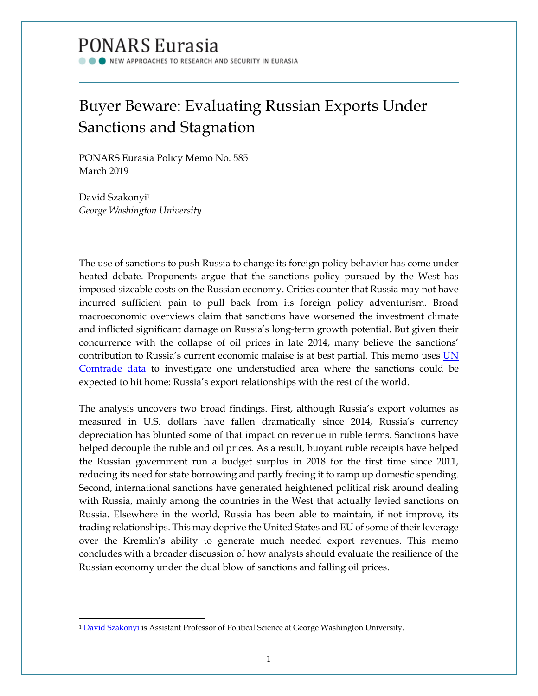# **PONARS Eurasia**

**NEW APPROACHES TO RESEARCH AND SECURITY IN EURASIA** 

# Buyer Beware: Evaluating Russian Exports Under Sanctions and Stagnation

PONARS Eurasia Policy Memo No. 585 March 2019

David Szakonyi[1](#page-0-0) *George Washington University*

l

The use of sanctions to push Russia to change its foreign policy behavior has come under heated debate. Proponents argue that the sanctions policy pursued by the West has imposed sizeable costs on the Russian economy. Critics counter that Russia may not have incurred sufficient pain to pull back from its foreign policy adventurism. Broad macroeconomic overviews claim that sanctions have worsened the investment climate and inflicted significant damage on Russia's long-term growth potential. But given their concurrence with the collapse of oil prices in late 2014, many believe the sanctions' contribution to Russia's current economic malaise is at best partial. This memo uses UN [Comtrade data](https://comtrade.un.org/data/) to investigate one understudied area where the sanctions could be expected to hit home: Russia's export relationships with the rest of the world.

The analysis uncovers two broad findings. First, although Russia's export volumes as measured in U.S. dollars have fallen dramatically since 2014, Russia's currency depreciation has blunted some of that impact on revenue in ruble terms. Sanctions have helped decouple the ruble and oil prices. As a result, buoyant ruble receipts have helped the Russian government run a budget surplus in 2018 for the first time since 2011, reducing its need for state borrowing and partly freeing it to ramp up domestic spending. Second, international sanctions have generated heightened political risk around dealing with Russia, mainly among the countries in the West that actually levied sanctions on Russia. Elsewhere in the world, Russia has been able to maintain, if not improve, its trading relationships. This may deprive the United States and EU of some of their leverage over the Kremlin's ability to generate much needed export revenues. This memo concludes with a broader discussion of how analysts should evaluate the resilience of the Russian economy under the dual blow of sanctions and falling oil prices.

<span id="page-0-0"></span><sup>&</sup>lt;sup>1</sup> [David Szakonyi](http://www.ponarseurasia.org/members/david-szakonyi) is Assistant Professor of Political Science at George Washington University.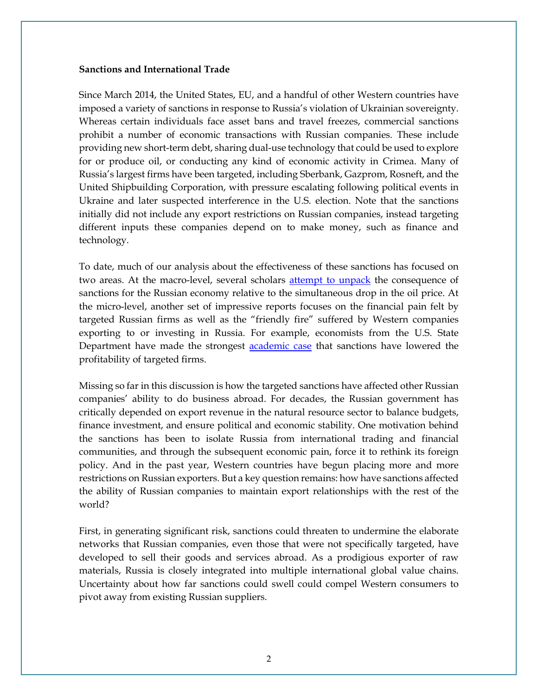#### **Sanctions and International Trade**

Since March 2014, the United States, EU, and a handful of other Western countries have imposed a variety of sanctions in response to Russia's violation of Ukrainian sovereignty. Whereas certain individuals face asset bans and travel freezes, commercial sanctions prohibit a number of economic transactions with Russian companies. These include providing new short-term debt, sharing dual-use technology that could be used to explore for or produce oil, or conducting any kind of economic activity in Crimea. Many of Russia's largest firms have been targeted, including Sberbank, Gazprom, Rosneft, and the United Shipbuilding Corporation, with pressure escalating following political events in Ukraine and later suspected interference in the U.S. election. Note that the sanctions initially did not include any export restrictions on Russian companies, instead targeting different inputs these companies depend on to make money, such as finance and technology.

To date, much of our analysis about the effectiveness of these sanctions has focused on two areas. At the macro-level, several scholars [attempt to unpack](https://rujec.org/article/27956/) the consequence of sanctions for the Russian economy relative to the simultaneous drop in the oil price. At the micro-level, another set of impressive reports focuses on the financial pain felt by targeted Russian firms as well as the "friendly fire" suffered by Western companies exporting to or investing in Russia. For example, economists from the U.S. State Department have made the strongest **academic case** that sanctions have lowered the profitability of targeted firms.

Missing so far in this discussion is how the targeted sanctions have affected other Russian companies' ability to do business abroad. For decades, the Russian government has critically depended on export revenue in the natural resource sector to balance budgets, finance investment, and ensure political and economic stability. One motivation behind the sanctions has been to isolate Russia from international trading and financial communities, and through the subsequent economic pain, force it to rethink its foreign policy. And in the past year, Western countries have begun placing more and more restrictions on Russian exporters. But a key question remains: how have sanctions affected the ability of Russian companies to maintain export relationships with the rest of the world?

First, in generating significant risk, sanctions could threaten to undermine the elaborate networks that Russian companies, even those that were not specifically targeted, have developed to sell their goods and services abroad. As a prodigious exporter of raw materials, Russia is closely integrated into multiple international global value chains. Uncertainty about how far sanctions could swell could compel Western consumers to pivot away from existing Russian suppliers.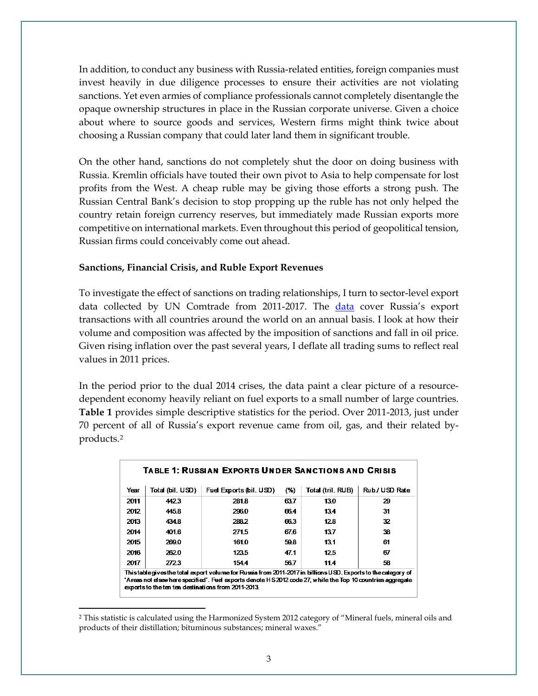In addition, to conduct any business with Russia-related entities, foreign companies must invest heavily in due diligence processes to ensure their activities are not violating sanctions. Yet even armies of compliance professionals cannot completely disentangle the opaque ownership structures in place in the Russian corporate universe. Given a choice about where to source goods and services, Western firms might think twice about choosing a Russian company that could later land them in significant trouble.

On the other hand, sanctions do not completely shut the door on doing business with Russia. Kremlin officials have touted their own pivot to Asia to help compensate for lost profits from the West. A cheap ruble may be giving those efforts a strong push. The Russian Central Bank's decision to stop propping up the ruble has not only helped the country retain foreign currency reserves, but immediately made Russian exports more competitive on international markets. Even throughout this period of geopolitical tension, Russian firms could conceivably come out ahead.

#### **Sanctions, Financial Crisis, and Ruble Export Revenues**

To investigate the effect of sanctions on trading relationships, I turn to sector-level export [data](https://comtrade.un.org/data/) collected by UN Comtrade from 2011-2017. The data cover Russia's export transactions with all countries around the world on an annual basis. I look at how their volume and composition was affected by the imposition of sanctions and fall in oil price. Given rising inflation over the past several years, I deflate all trading sums to reflect real values in 2011 prices.

In the period prior to the dual 2014 crises, the data paint a clear picture of a resourcedependent economy heavily reliant on fuel exports to a small number of large countries. **Table 1** provides simple descriptive statistics for the period. Over 2011-2013, just under 70 percent of all of Russia's export revenue came from oil, gas, and their related byproducts.[2](#page-2-0)

| <b>TABLE 1: RUSSIAN EXPORTS UNDER SANCTIONS AND CRISIS</b>                                                                                                                                                                                                                          |                  |                         |      |                   |                |
|-------------------------------------------------------------------------------------------------------------------------------------------------------------------------------------------------------------------------------------------------------------------------------------|------------------|-------------------------|------|-------------------|----------------|
| Year                                                                                                                                                                                                                                                                                | Total (bil. USD) | Fuel Exports (bil. USD) | (%)  | Total (tril. RUB) | Rub / USD Rate |
| 2011                                                                                                                                                                                                                                                                                | 4423             | 281.8                   | 637  | 13.0              | 29             |
| 2012                                                                                                                                                                                                                                                                                | 445.8            | 296.0                   | 66.4 | 134               | 31             |
| 2013                                                                                                                                                                                                                                                                                | 4348             | 2882                    | 663  | 128               | 32             |
| 2014                                                                                                                                                                                                                                                                                | 4016             | 271.5                   | 676  | 137               | 38             |
| 2015                                                                                                                                                                                                                                                                                | 2690             | 161.0                   | 598  | 131               | 61             |
| 2016                                                                                                                                                                                                                                                                                | 262.0            | 123.5                   | 47.1 | 12.5              | 67             |
| 2017                                                                                                                                                                                                                                                                                | 2723             | 154.4                   | 56.7 | 11.4              | 58             |
| Thistable gives the total export volume for Russia from 2011-2017 in billions USD. Exports to the category of<br>'A reas not elsewhere specified'. Fuel exports denote HS 2012 code 27, while the Top 10 countries aggregate<br>exports to the ten ten destinations from 2011-2013. |                  |                         |      |                   |                |

<span id="page-2-0"></span><sup>2</sup> This statistic is calculated using the Harmonized System 2012 category of "Mineral fuels, mineral oils and products of their distillation; bituminous substances; mineral waxes."

l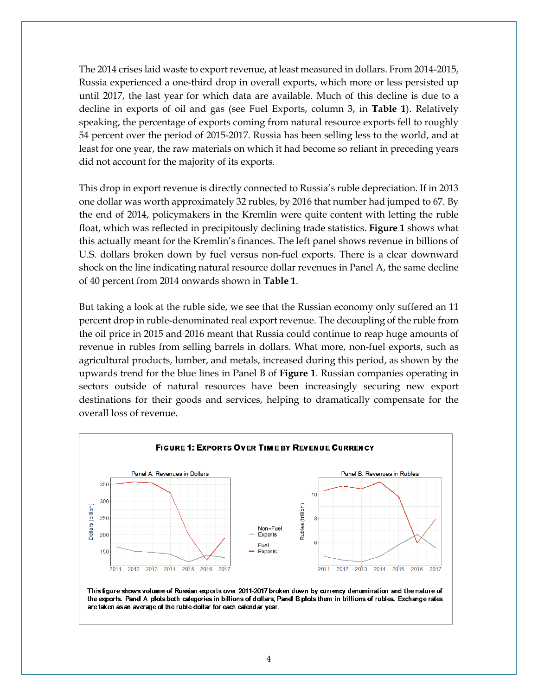The 2014 crises laid waste to export revenue, at least measured in dollars. From 2014-2015, Russia experienced a one-third drop in overall exports, which more or less persisted up until 2017, the last year for which data are available. Much of this decline is due to a decline in exports of oil and gas (see Fuel Exports, column 3, in **Table 1**). Relatively speaking, the percentage of exports coming from natural resource exports fell to roughly 54 percent over the period of 2015-2017. Russia has been selling less to the world, and at least for one year, the raw materials on which it had become so reliant in preceding years did not account for the majority of its exports.

This drop in export revenue is directly connected to Russia's ruble depreciation. If in 2013 one dollar was worth approximately 32 rubles, by 2016 that number had jumped to 67. By the end of 2014, policymakers in the Kremlin were quite content with letting the ruble float, which was reflected in precipitously declining trade statistics. **Figure 1** shows what this actually meant for the Kremlin's finances. The left panel shows revenue in billions of U.S. dollars broken down by fuel versus non-fuel exports. There is a clear downward shock on the line indicating natural resource dollar revenues in Panel A, the same decline of 40 percent from 2014 onwards shown in **Table 1**.

But taking a look at the ruble side, we see that the Russian economy only suffered an 11 percent drop in ruble-denominated real export revenue. The decoupling of the ruble from the oil price in 2015 and 2016 meant that Russia could continue to reap huge amounts of revenue in rubles from selling barrels in dollars. What more, non-fuel exports, such as agricultural products, lumber, and metals, increased during this period, as shown by the upwards trend for the blue lines in Panel B of **Figure 1**. Russian companies operating in sectors outside of natural resources have been increasingly securing new export destinations for their goods and services, helping to dramatically compensate for the overall loss of revenue.



This figure shows volume of Russian exports over 2011-2017 broken down by currency denomination and the nature of the exports. Panel A plots both categories in billions of dollars; Panel B plots them in trillions of rubles. Exchange rates are taken as an average of the ruble-dollar for each calendar year.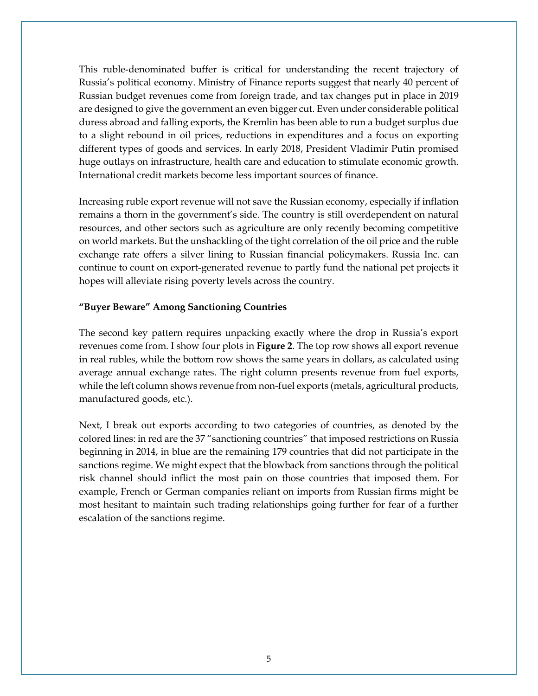This ruble-denominated buffer is critical for understanding the recent trajectory of Russia's political economy. Ministry of Finance reports suggest that nearly 40 percent of Russian budget revenues come from foreign trade, and tax changes put in place in 2019 are designed to give the government an even bigger cut. Even under considerable political duress abroad and falling exports, the Kremlin has been able to run a budget surplus due to a slight rebound in oil prices, reductions in expenditures and a focus on exporting different types of goods and services. In early 2018, President Vladimir Putin promised huge outlays on infrastructure, health care and education to stimulate economic growth. International credit markets become less important sources of finance.

Increasing ruble export revenue will not save the Russian economy, especially if inflation remains a thorn in the government's side. The country is still overdependent on natural resources, and other sectors such as agriculture are only recently becoming competitive on world markets. But the unshackling of the tight correlation of the oil price and the ruble exchange rate offers a silver lining to Russian financial policymakers. Russia Inc. can continue to count on export-generated revenue to partly fund the national pet projects it hopes will alleviate rising poverty levels across the country.

## **"Buyer Beware" Among Sanctioning Countries**

The second key pattern requires unpacking exactly where the drop in Russia's export revenues come from. I show four plots in **Figure 2**. The top row shows all export revenue in real rubles, while the bottom row shows the same years in dollars, as calculated using average annual exchange rates. The right column presents revenue from fuel exports, while the left column shows revenue from non-fuel exports (metals, agricultural products, manufactured goods, etc.).

Next, I break out exports according to two categories of countries, as denoted by the colored lines: in red are the 37 "sanctioning countries" that imposed restrictions on Russia beginning in 2014, in blue are the remaining 179 countries that did not participate in the sanctions regime. We might expect that the blowback from sanctions through the political risk channel should inflict the most pain on those countries that imposed them. For example, French or German companies reliant on imports from Russian firms might be most hesitant to maintain such trading relationships going further for fear of a further escalation of the sanctions regime.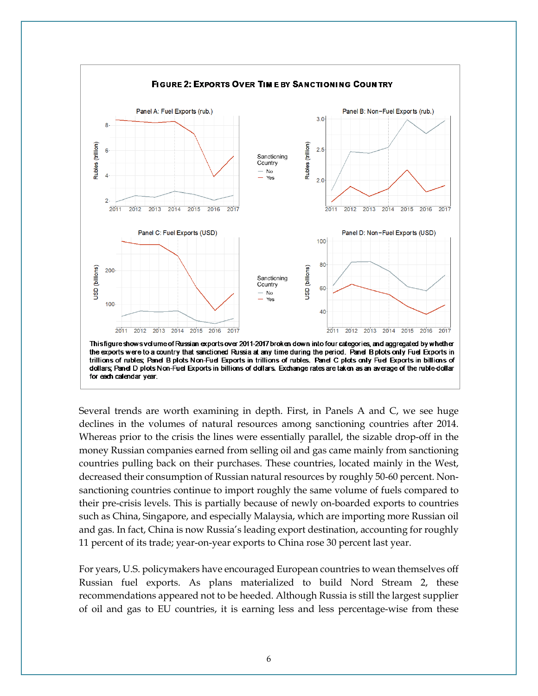

Several trends are worth examining in depth. First, in Panels A and C, we see huge declines in the volumes of natural resources among sanctioning countries after 2014. Whereas prior to the crisis the lines were essentially parallel, the sizable drop-off in the money Russian companies earned from selling oil and gas came mainly from sanctioning countries pulling back on their purchases. These countries, located mainly in the West, decreased their consumption of Russian natural resources by roughly 50-60 percent. Nonsanctioning countries continue to import roughly the same volume of fuels compared to their pre-crisis levels. This is partially because of newly on-boarded exports to countries such as China, Singapore, and especially Malaysia, which are importing more Russian oil and gas. In fact, China is now Russia's leading export destination, accounting for roughly 11 percent of its trade; year-on-year exports to China rose 30 percent last year.

For years, U.S. policymakers have encouraged European countries to wean themselves off Russian fuel exports. As plans materialized to build Nord Stream 2, these recommendations appeared not to be heeded. Although Russia is still the largest supplier of oil and gas to EU countries, it is earning less and less percentage-wise from these